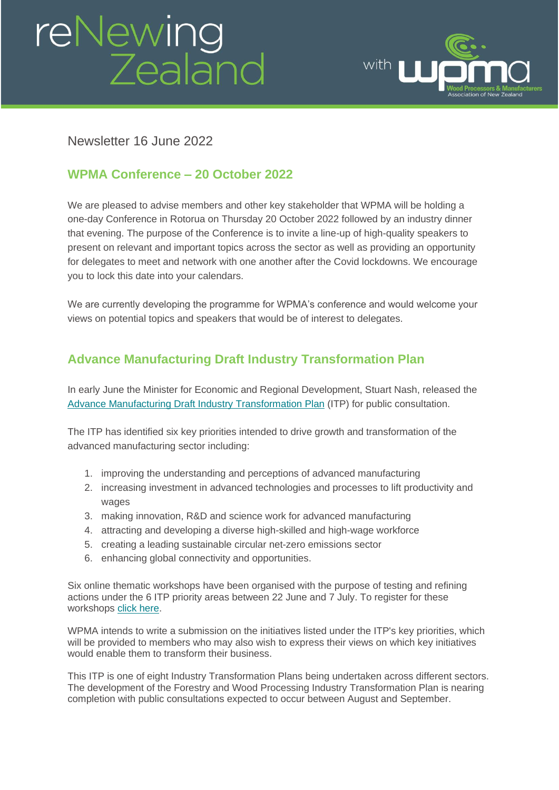# reNewing<br>Zealand



## Newsletter 16 June 2022

## **WPMA Conference – 20 October 2022**

We are pleased to advise members and other key stakeholder that WPMA will be holding a one-day Conference in Rotorua on Thursday 20 October 2022 followed by an industry dinner that evening. The purpose of the Conference is to invite a line-up of high-quality speakers to present on relevant and important topics across the sector as well as providing an opportunity for delegates to meet and network with one another after the Covid lockdowns. We encourage you to lock this date into your calendars.

We are currently developing the programme for WPMA's conference and would welcome your views on potential topics and speakers that would be of interest to delegates.

# **Advance Manufacturing Draft Industry Transformation Plan**

In early June the Minister for Economic and Regional Development, Stuart Nash, released the [Advance Manufacturing Draft Industry Transformation Plan](https://www.mbie.govt.nz/dmsdocument/21243-advanced-manufacturing-draft-industry-transformation-plan) (ITP) for public consultation.

The ITP has identified six key priorities intended to drive growth and transformation of the advanced manufacturing sector including:

- 1. improving the understanding and perceptions of advanced manufacturing
- 2. increasing investment in advanced technologies and processes to lift productivity and wages
- 3. making innovation, R&D and science work for advanced manufacturing
- 4. attracting and developing a diverse high-skilled and high-wage workforce
- 5. creating a leading sustainable circular net-zero emissions sector
- 6. enhancing global connectivity and opportunities.

Six online thematic workshops have been organised with the purpose of testing and refining actions under the 6 ITP priority areas between 22 June and 7 July. To register for these workshops [click here.](https://www.mbie.govt.nz/business-and-employment/economic-development/industry-policy/industry-transformation-plans/advanced-manufacturing/)

WPMA intends to write a submission on the initiatives listed under the ITP's key priorities, which will be provided to members who may also wish to express their views on which key initiatives would enable them to transform their business.

This ITP is one of eight Industry Transformation Plans being undertaken across different sectors. The development of the Forestry and Wood Processing Industry Transformation Plan is nearing completion with public consultations expected to occur between August and September.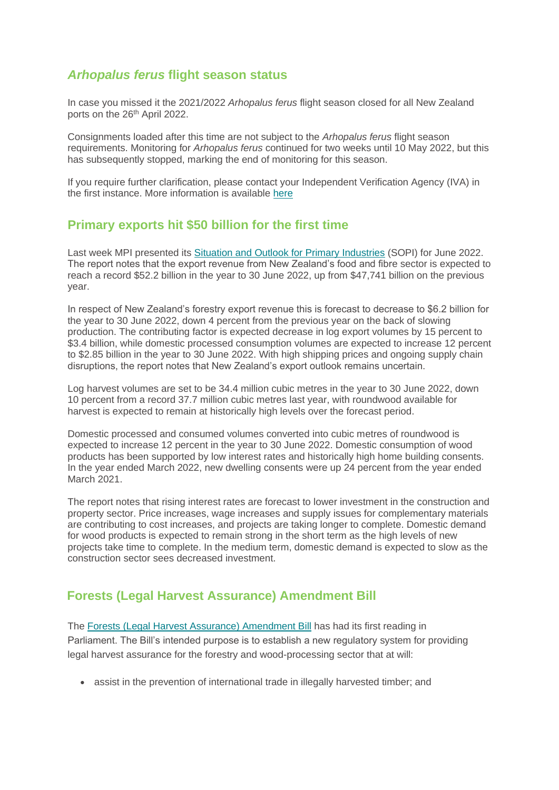#### *Arhopalus ferus* **flight season status**

In case you missed it the 2021/2022 *Arhopalus ferus* flight season closed for all New Zealand ports on the 26<sup>th</sup> April 2022.

Consignments loaded after this time are not subject to the *Arhopalus ferus* flight season requirements. Monitoring for *Arhopalus ferus* continued for two weeks until 10 May 2022, but this has subsequently stopped, marking the end of monitoring for this season.

If you require further clarification, please contact your Independent Verification Agency (IVA) in the first instance. More information is available [here](https://www.mpi.govt.nz/export/export-requirements/icpr-importing-countries-phytosanitary-requirements/forestry-icprs/australia/?utm_source=notification-email#arh)

#### **Primary exports hit \$50 billion for the first time**

Last week MPI presented its [Situation and Outlook for Primary Industries](https://www.mpi.govt.nz/dmsdocument/51754-Situation-and-Outlook-for-Primary-Industries-SOPI-June-2022) (SOPI) for June 2022. The report notes that the export revenue from New Zealand's food and fibre sector is expected to reach a record \$52.2 billion in the year to 30 June 2022, up from \$47,741 billion on the previous year.

In respect of New Zealand's forestry export revenue this is forecast to decrease to \$6.2 billion for the year to 30 June 2022, down 4 percent from the previous year on the back of slowing production. The contributing factor is expected decrease in log export volumes by 15 percent to \$3.4 billion, while domestic processed consumption volumes are expected to increase 12 percent to \$2.85 billion in the year to 30 June 2022. With high shipping prices and ongoing supply chain disruptions, the report notes that New Zealand's export outlook remains uncertain.

Log harvest volumes are set to be 34.4 million cubic metres in the year to 30 June 2022, down 10 percent from a record 37.7 million cubic metres last year, with roundwood available for harvest is expected to remain at historically high levels over the forecast period.

Domestic processed and consumed volumes converted into cubic metres of roundwood is expected to increase 12 percent in the year to 30 June 2022. Domestic consumption of wood products has been supported by low interest rates and historically high home building consents. In the year ended March 2022, new dwelling consents were up 24 percent from the year ended March 2021.

The report notes that rising interest rates are forecast to lower investment in the construction and property sector. Price increases, wage increases and supply issues for complementary materials are contributing to cost increases, and projects are taking longer to complete. Domestic demand for wood products is expected to remain strong in the short term as the high levels of new projects take time to complete. In the medium term, domestic demand is expected to slow as the construction sector sees decreased investment.

### **Forests (Legal Harvest Assurance) Amendment Bill**

The [Forests \(Legal Harvest Assurance\) Amendment Bill](https://www.legislation.govt.nz/bill/government/2022/0118/latest/whole.html#LMS510359) has had its first reading in Parliament. The Bill's intended purpose is to establish a new regulatory system for providing legal harvest assurance for the forestry and wood-processing sector that at will:

• assist in the prevention of international trade in illegally harvested timber; and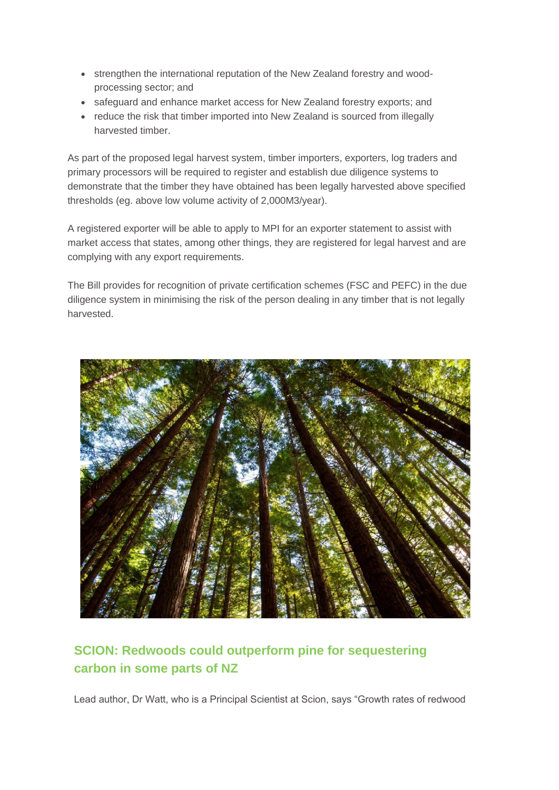- strengthen the international reputation of the New Zealand forestry and woodprocessing sector; and
- safeguard and enhance market access for New Zealand forestry exports; and
- reduce the risk that timber imported into New Zealand is sourced from illegally harvested timber.

As part of the proposed legal harvest system, timber importers, exporters, log traders and primary processors will be required to register and establish due diligence systems to demonstrate that the timber they have obtained has been legally harvested above specified thresholds (eg. above low volume activity of 2,000M3/year).

A registered exporter will be able to apply to MPI for an exporter statement to assist with market access that states, among other things, they are registered for legal harvest and are complying with any export requirements.

The Bill provides for recognition of private certification schemes (FSC and PEFC) in the due diligence system in minimising the risk of the person dealing in any timber that is not legally harvested.



# **SCION: Redwoods could outperform pine for sequestering carbon in some parts of NZ**

Lead author, Dr Watt, who is a Principal Scientist at Scion, says "Growth rates of redwood